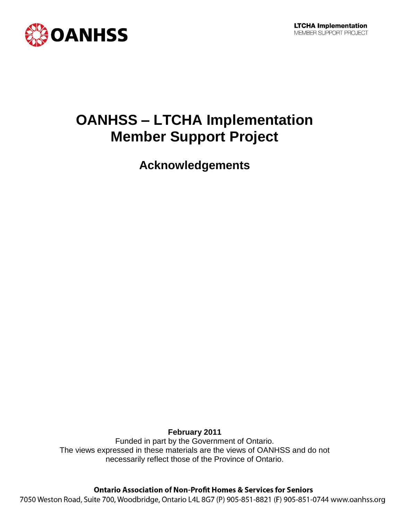



# **OANHSS – LTCHA Implementation Member Support Project**

**Acknowledgements**

**February 2011** Funded in part by the Government of Ontario. The views expressed in these materials are the views of OANHSS and do not necessarily reflect those of the Province of Ontario.

**Ontario Association of Non-Profit Homes & Services for Seniors** 

7050 Weston Road, Suite 700, Woodbridge, Ontario L4L 8G7 (P) 905-851-8821 (F) 905-851-0744 www.oanhss.org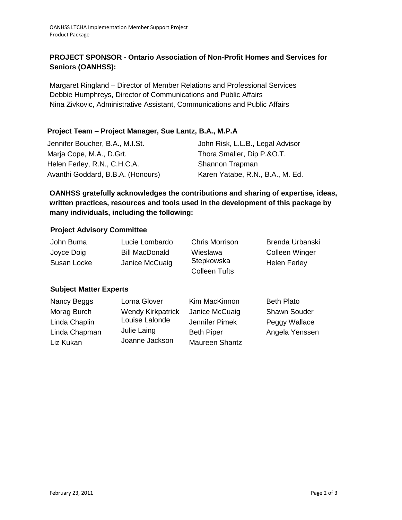# **PROJECT SPONSOR - Ontario Association of Non-Profit Homes and Services for Seniors (OANHSS):**

Margaret Ringland – Director of Member Relations and Professional Services Debbie Humphreys, Director of Communications and Public Affairs Nina Zivkovic, Administrative Assistant, Communications and Public Affairs

## **Project Team – Project Manager, Sue Lantz, B.A., M.P.A**

| Jennifer Boucher, B.A., M.I.St.   | John Risk, L.L.B., Legal Advisor |  |
|-----------------------------------|----------------------------------|--|
| Marja Cope, M.A., D.Grt.          | Thora Smaller, Dip P.&O.T.       |  |
| Helen Ferley, R.N., C.H.C.A.      | Shannon Trapman                  |  |
| Avanthi Goddard, B.B.A. (Honours) | Karen Yatabe, R.N., B.A., M. Ed. |  |

**OANHSS gratefully acknowledges the contributions and sharing of expertise, ideas, written practices, resources and tools used in the development of this package by many individuals, including the following:**

## **Project Advisory Committee**

| John Buma   | Lucie Lombardo        | <b>Chris Morrison</b> | Brenda Urbanski     |
|-------------|-----------------------|-----------------------|---------------------|
| Joyce Doig  | <b>Bill MacDonald</b> | Wieslawa              | Colleen Winger      |
| Susan Locke | Janice McCuaig        | Stepkowska            | <b>Helen Ferley</b> |
|             |                       | <b>Colleen Tufts</b>  |                     |

## **Subject Matter Experts**

| Nancy Beggs   | Lorna Glover             | Kim MacKinnon     | <b>Beth Plato</b>   |
|---------------|--------------------------|-------------------|---------------------|
| Morag Burch   | <b>Wendy Kirkpatrick</b> | Janice McCuaig    | <b>Shawn Souder</b> |
| Linda Chaplin | Louise Lalonde           | Jennifer Pimek    | Peggy Wallace       |
| Linda Chapman | Julie Laing              | <b>Beth Piper</b> | Angela Yenssen      |
| Liz Kukan     | Joanne Jackson           | Maureen Shantz    |                     |